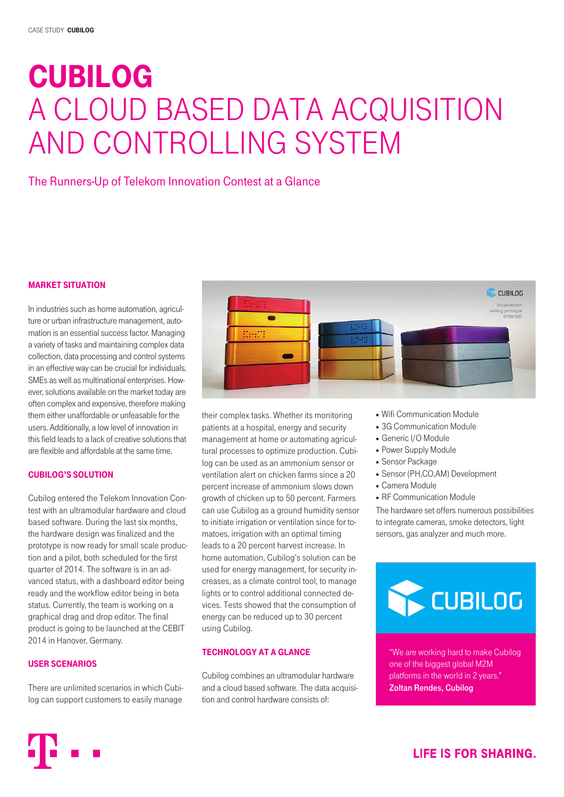# CUBILOG A cloud based data acquisition and controlling system

# The Runners-Up of Telekom Innovation Contest at a Glance

# Market Situation

In industries such as home automation, agriculture or urban infrastructure management, automation is an essential success factor. Managing a variety of tasks and maintaining complex data collection, data processing and control systems in an effective way can be crucial for individuals, SMEs as well as multinational enterprises. However, solutions available on the market today are often complex and expensive, therefore making them either unaffordable or unfeasable for the users. Additionally, a low level of innovation in this field leads to a lack of creative solutions that are flexible and affordable at the same time.

## Cubilog's Solution

Cubilog entered the Telekom Innovation Contest with an ultramodular hardware and cloud based software. During the last six months, the hardware design was finalized and the prototype is now ready for small scale production and a pilot, both scheduled for the first quarter of 2014. The software is in an advanced status, with a dashboard editor being ready and the workflow editor being in beta status. Currently, the team is working on a graphical drag and drop editor. The final product is going to be launched at the CEBIT 2014 in Hanover, Germany.

## User Scenarios

There are unlimited scenarios in which Cubilog can support customers to easily manage



their complex tasks. Whether its monitoring patients at a hospital, energy and security management at home or automating agricultural processes to optimize production. Cubilog can be used as an ammonium sensor or ventilation alert on chicken farms since a 20 percent increase of ammonium slows down growth of chicken up to 50 percent. Farmers can use Cubilog as a ground humidity sensor to initiate irrigation or ventilation since for tomatoes, irrigation with an optimal timing leads to a 20 percent harvest increase. In home automation, Cubilog's solution can be used for energy management, for security increases, as a climate control tool, to manage lights or to control additional connected devices. Tests showed that the consumption of energy can be reduced up to 30 percent using Cubilog.

# Technology at a Glance

Cubilog combines an ultramodular hardware and a cloud based software. The data acquisition and control hardware consists of:

- Wifi Communication Module
- **3G Communication Module**
- Generic I/O Module
- Power Supply Module
- Sensor Package
- Sensor (PH,CO,AM) Development
- Camera Module
- **RF Communication Module**

The hardware set offers numerous possibilities to integrate cameras, smoke detectors, light sensors, gas analyzer and much more.



"We are working hard to make Cubilog one of the biggest global M2M platforms in the world in 2 years." Zoltan Rendes, Cubilog